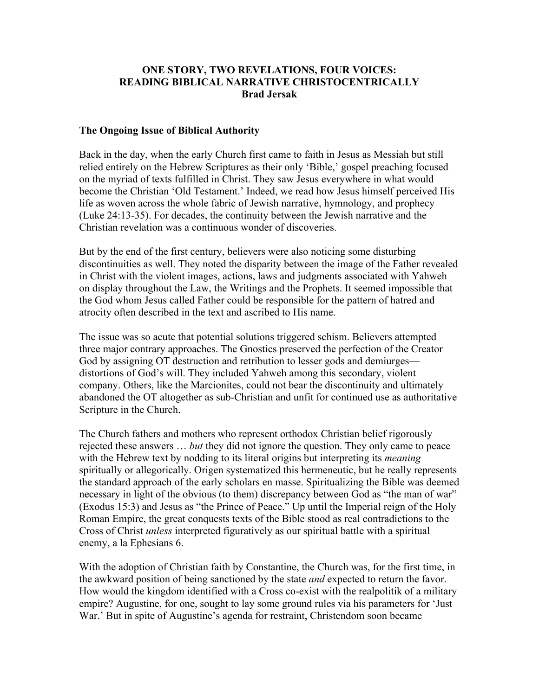#### **ONE STORY, TWO REVELATIONS, FOUR VOICES: READING BIBLICAL NARRATIVE CHRISTOCENTRICALLY Brad Jersak**

#### **The Ongoing Issue of Biblical Authority**

Back in the day, when the early Church first came to faith in Jesus as Messiah but still relied entirely on the Hebrew Scriptures as their only 'Bible,' gospel preaching focused on the myriad of texts fulfilled in Christ. They saw Jesus everywhere in what would become the Christian 'Old Testament.' Indeed, we read how Jesus himself perceived His life as woven across the whole fabric of Jewish narrative, hymnology, and prophecy (Luke 24:13-35). For decades, the continuity between the Jewish narrative and the Christian revelation was a continuous wonder of discoveries.

But by the end of the first century, believers were also noticing some disturbing discontinuities as well. They noted the disparity between the image of the Father revealed in Christ with the violent images, actions, laws and judgments associated with Yahweh on display throughout the Law, the Writings and the Prophets. It seemed impossible that the God whom Jesus called Father could be responsible for the pattern of hatred and atrocity often described in the text and ascribed to His name.

The issue was so acute that potential solutions triggered schism. Believers attempted three major contrary approaches. The Gnostics preserved the perfection of the Creator God by assigning OT destruction and retribution to lesser gods and demiurges distortions of God's will. They included Yahweh among this secondary, violent company. Others, like the Marcionites, could not bear the discontinuity and ultimately abandoned the OT altogether as sub-Christian and unfit for continued use as authoritative Scripture in the Church.

The Church fathers and mothers who represent orthodox Christian belief rigorously rejected these answers … *but* they did not ignore the question. They only came to peace with the Hebrew text by nodding to its literal origins but interpreting its *meaning* spiritually or allegorically. Origen systematized this hermeneutic, but he really represents the standard approach of the early scholars en masse. Spiritualizing the Bible was deemed necessary in light of the obvious (to them) discrepancy between God as "the man of war" (Exodus 15:3) and Jesus as "the Prince of Peace." Up until the Imperial reign of the Holy Roman Empire, the great conquests texts of the Bible stood as real contradictions to the Cross of Christ *unless* interpreted figuratively as our spiritual battle with a spiritual enemy, a la Ephesians 6.

With the adoption of Christian faith by Constantine, the Church was, for the first time, in the awkward position of being sanctioned by the state *and* expected to return the favor. How would the kingdom identified with a Cross co-exist with the realpolitik of a military empire? Augustine, for one, sought to lay some ground rules via his parameters for 'Just War.' But in spite of Augustine's agenda for restraint, Christendom soon became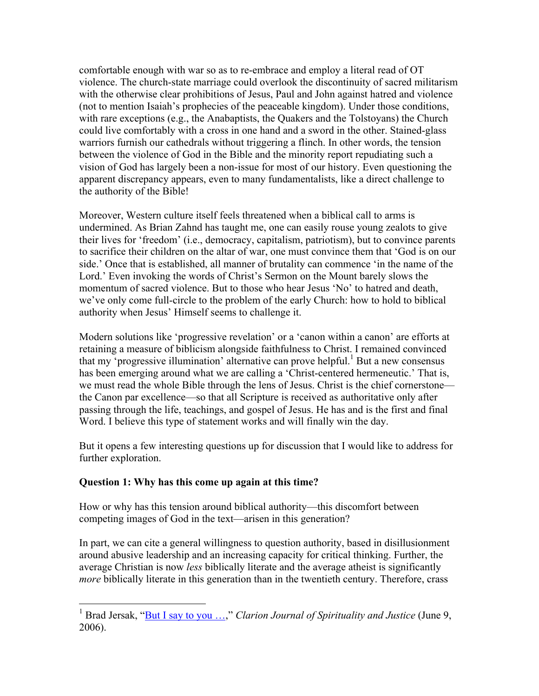comfortable enough with war so as to re-embrace and employ a literal read of OT violence. The church-state marriage could overlook the discontinuity of sacred militarism with the otherwise clear prohibitions of Jesus, Paul and John against hatred and violence (not to mention Isaiah's prophecies of the peaceable kingdom). Under those conditions, with rare exceptions (e.g., the Anabaptists, the Quakers and the Tolstoyans) the Church could live comfortably with a cross in one hand and a sword in the other. Stained-glass warriors furnish our cathedrals without triggering a flinch. In other words, the tension between the violence of God in the Bible and the minority report repudiating such a vision of God has largely been a non-issue for most of our history. Even questioning the apparent discrepancy appears, even to many fundamentalists, like a direct challenge to the authority of the Bible!

Moreover, Western culture itself feels threatened when a biblical call to arms is undermined. As Brian Zahnd has taught me, one can easily rouse young zealots to give their lives for 'freedom' (i.e., democracy, capitalism, patriotism), but to convince parents to sacrifice their children on the altar of war, one must convince them that 'God is on our side.' Once that is established, all manner of brutality can commence 'in the name of the Lord.' Even invoking the words of Christ's Sermon on the Mount barely slows the momentum of sacred violence. But to those who hear Jesus 'No' to hatred and death, we've only come full-circle to the problem of the early Church: how to hold to biblical authority when Jesus' Himself seems to challenge it.

Modern solutions like 'progressive revelation' or a 'canon within a canon' are efforts at retaining a measure of biblicism alongside faithfulness to Christ. I remained convinced that my 'progressive illumination' alternative can prove helpful. <sup>1</sup> But a new consensus has been emerging around what we are calling a 'Christ-centered hermeneutic.' That is, we must read the whole Bible through the lens of Jesus. Christ is the chief cornerstone the Canon par excellence—so that all Scripture is received as authoritative only after passing through the life, teachings, and gospel of Jesus. He has and is the first and final Word. I believe this type of statement works and will finally win the day.

But it opens a few interesting questions up for discussion that I would like to address for further exploration.

### **Question 1: Why has this come up again at this time?**

How or why has this tension around biblical authority—this discomfort between competing images of God in the text—arisen in this generation?

In part, we can cite a general willingness to question authority, based in disillusionment around abusive leadership and an increasing capacity for critical thinking. Further, the average Christian is now *less* biblically literate and the average atheist is significantly *more* biblically literate in this generation than in the twentieth century. Therefore, crass

<sup>&</sup>lt;sup>1</sup> Brad Jersak, "But I say to you ...," *Clarion Journal of Spirituality and Justice* (June 9, 2006).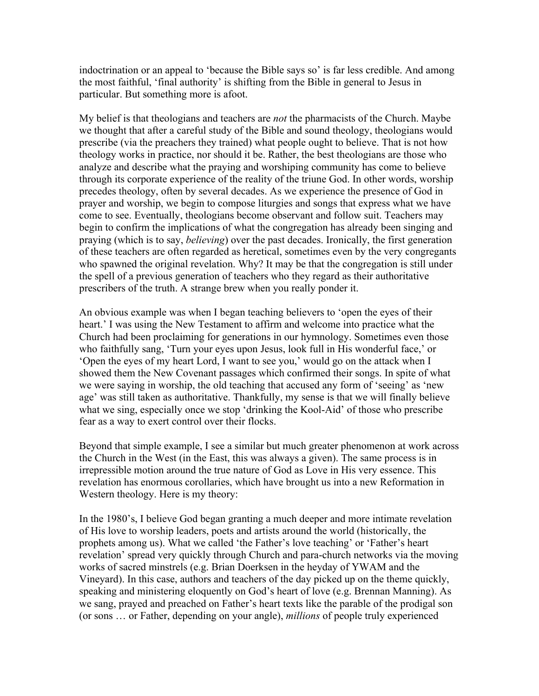indoctrination or an appeal to 'because the Bible says so' is far less credible. And among the most faithful, 'final authority' is shifting from the Bible in general to Jesus in particular. But something more is afoot.

My belief is that theologians and teachers are *not* the pharmacists of the Church. Maybe we thought that after a careful study of the Bible and sound theology, theologians would prescribe (via the preachers they trained) what people ought to believe. That is not how theology works in practice, nor should it be. Rather, the best theologians are those who analyze and describe what the praying and worshiping community has come to believe through its corporate experience of the reality of the triune God. In other words, worship precedes theology, often by several decades. As we experience the presence of God in prayer and worship, we begin to compose liturgies and songs that express what we have come to see. Eventually, theologians become observant and follow suit. Teachers may begin to confirm the implications of what the congregation has already been singing and praying (which is to say, *believing*) over the past decades. Ironically, the first generation of these teachers are often regarded as heretical, sometimes even by the very congregants who spawned the original revelation. Why? It may be that the congregation is still under the spell of a previous generation of teachers who they regard as their authoritative prescribers of the truth. A strange brew when you really ponder it.

An obvious example was when I began teaching believers to 'open the eyes of their heart.' I was using the New Testament to affirm and welcome into practice what the Church had been proclaiming for generations in our hymnology. Sometimes even those who faithfully sang, 'Turn your eyes upon Jesus, look full in His wonderful face,' or 'Open the eyes of my heart Lord, I want to see you,' would go on the attack when I showed them the New Covenant passages which confirmed their songs. In spite of what we were saying in worship, the old teaching that accused any form of 'seeing' as 'new age' was still taken as authoritative. Thankfully, my sense is that we will finally believe what we sing, especially once we stop 'drinking the Kool-Aid' of those who prescribe fear as a way to exert control over their flocks.

Beyond that simple example, I see a similar but much greater phenomenon at work across the Church in the West (in the East, this was always a given). The same process is in irrepressible motion around the true nature of God as Love in His very essence. This revelation has enormous corollaries, which have brought us into a new Reformation in Western theology. Here is my theory:

In the 1980's, I believe God began granting a much deeper and more intimate revelation of His love to worship leaders, poets and artists around the world (historically, the prophets among us). What we called 'the Father's love teaching' or 'Father's heart revelation' spread very quickly through Church and para-church networks via the moving works of sacred minstrels (e.g. Brian Doerksen in the heyday of YWAM and the Vineyard). In this case, authors and teachers of the day picked up on the theme quickly, speaking and ministering eloquently on God's heart of love (e.g. Brennan Manning). As we sang, prayed and preached on Father's heart texts like the parable of the prodigal son (or sons … or Father, depending on your angle), *millions* of people truly experienced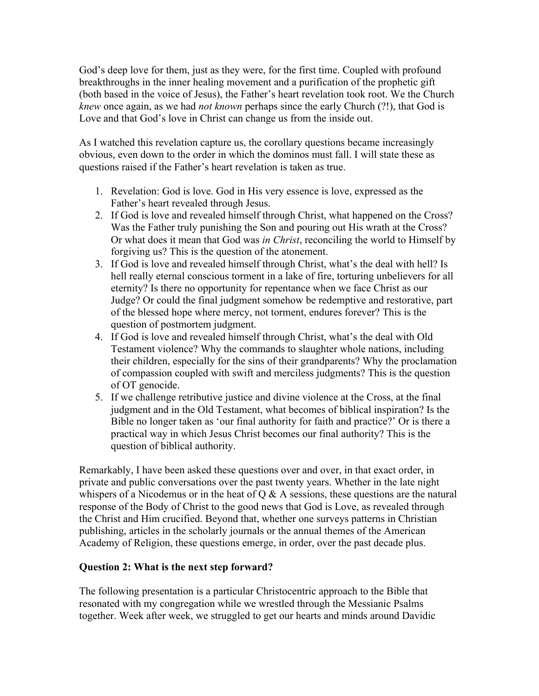God's deep love for them, just as they were, for the first time. Coupled with profound breakthroughs in the inner healing movement and a purification of the prophetic gift (both based in the voice of Jesus), the Father's heart revelation took root. We the Church *knew* once again, as we had *not known* perhaps since the early Church (?!), that God is Love and that God's love in Christ can change us from the inside out.

As I watched this revelation capture us, the corollary questions became increasingly obvious, even down to the order in which the dominos must fall. I will state these as questions raised if the Father's heart revelation is taken as true.

- 1. Revelation: God is love. God in His very essence is love, expressed as the Father's heart revealed through Jesus.
- 2. If God is love and revealed himself through Christ, what happened on the Cross? Was the Father truly punishing the Son and pouring out His wrath at the Cross? Or what does it mean that God was *in Christ*, reconciling the world to Himself by forgiving us? This is the question of the atonement.
- 3. If God is love and revealed himself through Christ, what's the deal with hell? Is hell really eternal conscious torment in a lake of fire, torturing unbelievers for all eternity? Is there no opportunity for repentance when we face Christ as our Judge? Or could the final judgment somehow be redemptive and restorative, part of the blessed hope where mercy, not torment, endures forever? This is the question of postmortem judgment.
- 4. If God is love and revealed himself through Christ, what's the deal with Old Testament violence? Why the commands to slaughter whole nations, including their children, especially for the sins of their grandparents? Why the proclamation of compassion coupled with swift and merciless judgments? This is the question of OT genocide.
- 5. If we challenge retributive justice and divine violence at the Cross, at the final judgment and in the Old Testament, what becomes of biblical inspiration? Is the Bible no longer taken as 'our final authority for faith and practice?' Or is there a practical way in which Jesus Christ becomes our final authority? This is the question of biblical authority.

Remarkably, I have been asked these questions over and over, in that exact order, in private and public conversations over the past twenty years. Whether in the late night whispers of a Nicodemus or in the heat of  $Q \& A$  sessions, these questions are the natural response of the Body of Christ to the good news that God is Love, as revealed through the Christ and Him crucified. Beyond that, whether one surveys patterns in Christian publishing, articles in the scholarly journals or the annual themes of the American Academy of Religion, these questions emerge, in order, over the past decade plus.

### **Question 2: What is the next step forward?**

The following presentation is a particular Christocentric approach to the Bible that resonated with my congregation while we wrestled through the Messianic Psalms together. Week after week, we struggled to get our hearts and minds around Davidic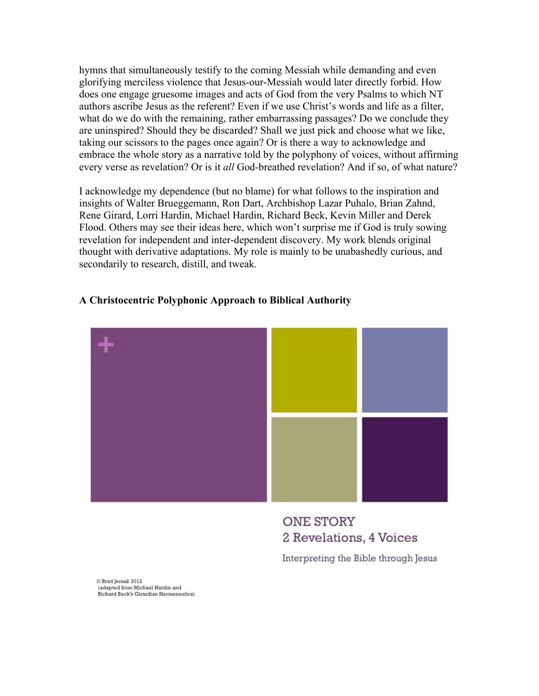hymns that simultaneously testify to the coming Messiah while demanding and even glorifying merciless violence that Jesus-our-Messiah would later directly forbid. How does one engage gruesome images and acts of God from the very Psalms to which NT authors ascribe Jesus as the referent? Even if we use Christ's words and life as a filter, what do we do with the remaining, rather embarrassing passages? Do we conclude they are uninspired? Should they be discarded? Shall we just pick and choose what we like, taking our scissors to the pages once again? Or is there a way to acknowledge and embrace the whole story as a narrative told by the polyphony of voices, without affirming every verse as revelation? Or is it *all* God-breathed revelation? And if so, of what nature?

I acknowledge my dependence (but no blame) for what follows to the inspiration and insights of Walter Brueggemann, Ron Dart, Archbishop Lazar Puhalo, Brian Zahnd, Rene Girard, Lorri Hardin, Michael Hardin, Richard Beck, Kevin Miller and Derek Flood. Others may see their ideas here, which won't surprise me if God is truly sowing revelation for independent and inter-dependent discovery. My work blends original thought with derivative adaptations. My role is mainly to be unabashedly curious, and secondarily to research, distill, and tweak.

#### **A Christocentric Polyphonic Approach to Biblical Authority**



### **ONE STORY** 2 Revelations, 4 Voices

Interpreting the Bible through Jesus

C Brad Jersak 2012 (adapted from Michael Hardin and Richard Beck's Girardian Hermeneutics)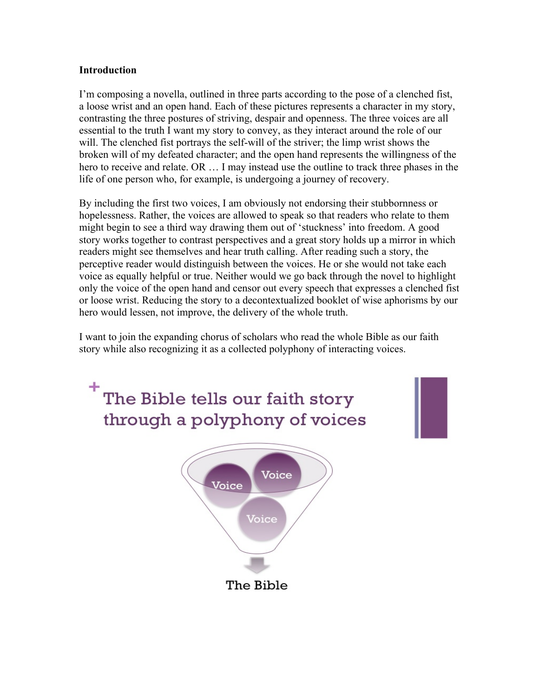#### **Introduction**

I'm composing a novella, outlined in three parts according to the pose of a clenched fist, a loose wrist and an open hand. Each of these pictures represents a character in my story, contrasting the three postures of striving, despair and openness. The three voices are all essential to the truth I want my story to convey, as they interact around the role of our will. The clenched fist portrays the self-will of the striver; the limp wrist shows the broken will of my defeated character; and the open hand represents the willingness of the hero to receive and relate. OR  $\dots$  I may instead use the outline to track three phases in the life of one person who, for example, is undergoing a journey of recovery.

By including the first two voices, I am obviously not endorsing their stubbornness or hopelessness. Rather, the voices are allowed to speak so that readers who relate to them might begin to see a third way drawing them out of 'stuckness' into freedom. A good story works together to contrast perspectives and a great story holds up a mirror in which readers might see themselves and hear truth calling. After reading such a story, the perceptive reader would distinguish between the voices. He or she would not take each voice as equally helpful or true. Neither would we go back through the novel to highlight only the voice of the open hand and censor out every speech that expresses a clenched fist or loose wrist. Reducing the story to a decontextualized booklet of wise aphorisms by our hero would lessen, not improve, the delivery of the whole truth.

I want to join the expanding chorus of scholars who read the whole Bible as our faith story while also recognizing it as a collected polyphony of interacting voices.

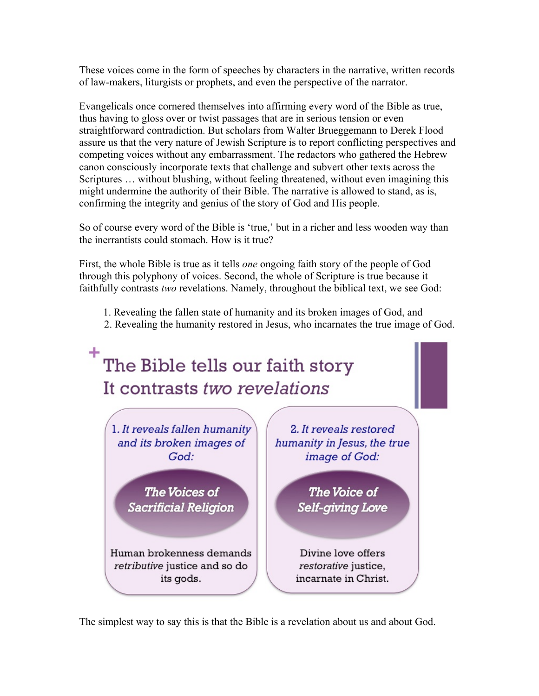These voices come in the form of speeches by characters in the narrative, written records of law-makers, liturgists or prophets, and even the perspective of the narrator.

Evangelicals once cornered themselves into affirming every word of the Bible as true, thus having to gloss over or twist passages that are in serious tension or even straightforward contradiction. But scholars from Walter Brueggemann to Derek Flood assure us that the very nature of Jewish Scripture is to report conflicting perspectives and competing voices without any embarrassment. The redactors who gathered the Hebrew canon consciously incorporate texts that challenge and subvert other texts across the Scriptures … without blushing, without feeling threatened, without even imagining this might undermine the authority of their Bible. The narrative is allowed to stand, as is, confirming the integrity and genius of the story of God and His people.

So of course every word of the Bible is 'true,' but in a richer and less wooden way than the inerrantists could stomach. How is it true?

First, the whole Bible is true as it tells *one* ongoing faith story of the people of God through this polyphony of voices. Second, the whole of Scripture is true because it faithfully contrasts *two* revelations. Namely, throughout the biblical text, we see God:

- 1. Revealing the fallen state of humanity and its broken images of God, and
- 2. Revealing the humanity restored in Jesus, who incarnates the true image of God.



The simplest way to say this is that the Bible is a revelation about us and about God.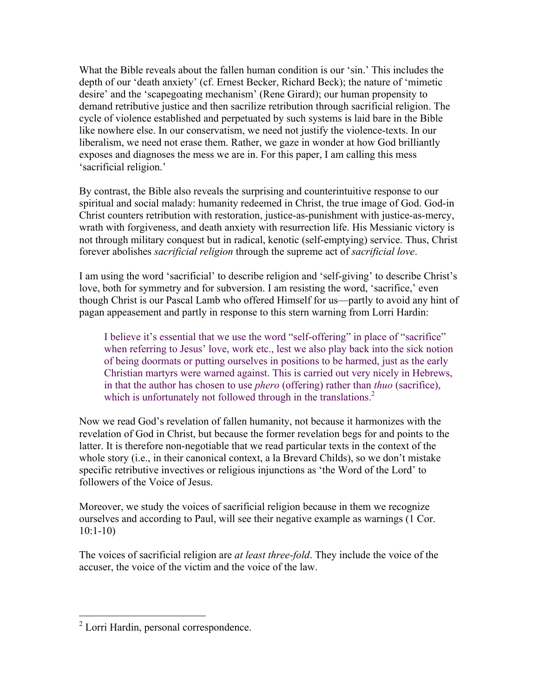What the Bible reveals about the fallen human condition is our 'sin.' This includes the depth of our 'death anxiety' (cf. Ernest Becker, Richard Beck); the nature of 'mimetic desire' and the 'scapegoating mechanism' (Rene Girard); our human propensity to demand retributive justice and then sacrilize retribution through sacrificial religion. The cycle of violence established and perpetuated by such systems is laid bare in the Bible like nowhere else. In our conservatism, we need not justify the violence-texts. In our liberalism, we need not erase them. Rather, we gaze in wonder at how God brilliantly exposes and diagnoses the mess we are in. For this paper, I am calling this mess 'sacrificial religion.'

By contrast, the Bible also reveals the surprising and counterintuitive response to our spiritual and social malady: humanity redeemed in Christ, the true image of God. God-in Christ counters retribution with restoration, justice-as-punishment with justice-as-mercy, wrath with forgiveness, and death anxiety with resurrection life. His Messianic victory is not through military conquest but in radical, kenotic (self-emptying) service. Thus, Christ forever abolishes *sacrificial religion* through the supreme act of *sacrificial love*.

I am using the word 'sacrificial' to describe religion and 'self-giving' to describe Christ's love, both for symmetry and for subversion. I am resisting the word, 'sacrifice,' even though Christ is our Pascal Lamb who offered Himself for us—partly to avoid any hint of pagan appeasement and partly in response to this stern warning from Lorri Hardin:

I believe it's essential that we use the word "self-offering" in place of "sacrifice" when referring to Jesus' love, work etc., lest we also play back into the sick notion of being doormats or putting ourselves in positions to be harmed, just as the early Christian martyrs were warned against. This is carried out very nicely in Hebrews, in that the author has chosen to use *phero* (offering) rather than *thuo* (sacrifice), which is unfortunately not followed through in the translations. $2^2$ 

Now we read God's revelation of fallen humanity, not because it harmonizes with the revelation of God in Christ, but because the former revelation begs for and points to the latter. It is therefore non-negotiable that we read particular texts in the context of the whole story (i.e., in their canonical context, a la Brevard Childs), so we don't mistake specific retributive invectives or religious injunctions as 'the Word of the Lord' to followers of the Voice of Jesus.

Moreover, we study the voices of sacrificial religion because in them we recognize ourselves and according to Paul, will see their negative example as warnings (1 Cor. 10:1-10)

The voices of sacrificial religion are *at least three-fold*. They include the voice of the accuser, the voice of the victim and the voice of the law.

 <sup>2</sup> Lorri Hardin, personal correspondence.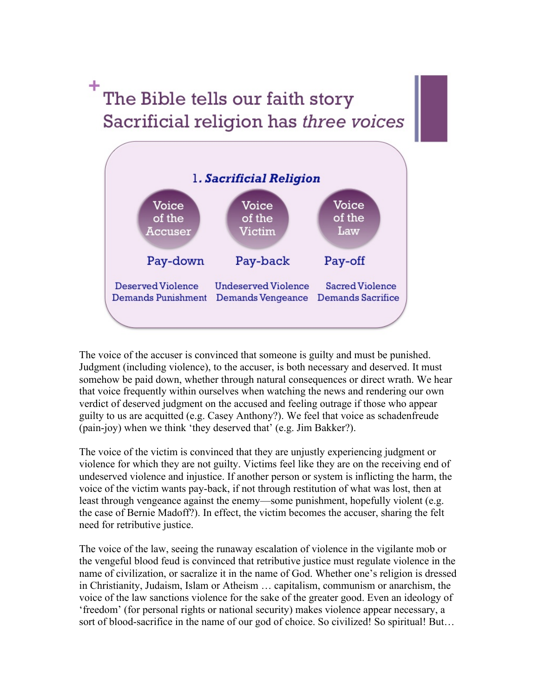## The Bible tells our faith story Sacrificial religion has three voices



The voice of the accuser is convinced that someone is guilty and must be punished. Judgment (including violence), to the accuser, is both necessary and deserved. It must somehow be paid down, whether through natural consequences or direct wrath. We hear that voice frequently within ourselves when watching the news and rendering our own verdict of deserved judgment on the accused and feeling outrage if those who appear guilty to us are acquitted (e.g. Casey Anthony?). We feel that voice as schadenfreude (pain-joy) when we think 'they deserved that' (e.g. Jim Bakker?).

The voice of the victim is convinced that they are unjustly experiencing judgment or violence for which they are not guilty. Victims feel like they are on the receiving end of undeserved violence and injustice. If another person or system is inflicting the harm, the voice of the victim wants pay-back, if not through restitution of what was lost, then at least through vengeance against the enemy—some punishment, hopefully violent (e.g. the case of Bernie Madoff?). In effect, the victim becomes the accuser, sharing the felt need for retributive justice.

The voice of the law, seeing the runaway escalation of violence in the vigilante mob or the vengeful blood feud is convinced that retributive justice must regulate violence in the name of civilization, or sacralize it in the name of God. Whether one's religion is dressed in Christianity, Judaism, Islam or Atheism … capitalism, communism or anarchism, the voice of the law sanctions violence for the sake of the greater good. Even an ideology of 'freedom' (for personal rights or national security) makes violence appear necessary, a sort of blood-sacrifice in the name of our god of choice. So civilized! So spiritual! But...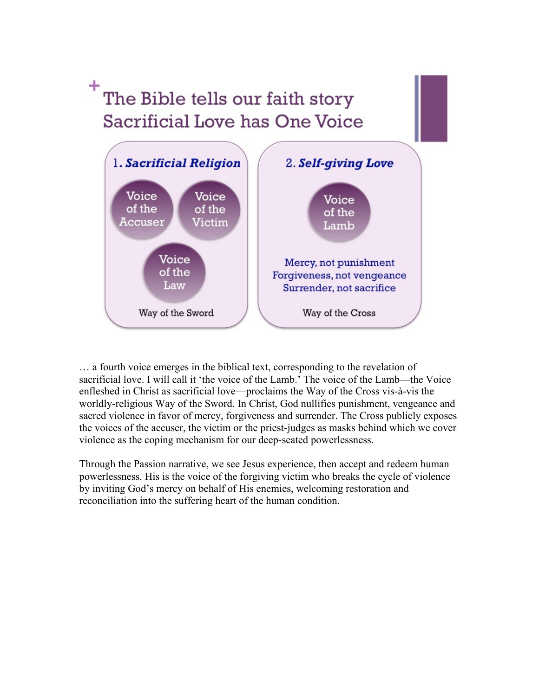### The Bible tells our faith story Sacrificial Love has One Voice



… a fourth voice emerges in the biblical text, corresponding to the revelation of sacrificial love. I will call it 'the voice of the Lamb.' The voice of the Lamb—the Voice enfleshed in Christ as sacrificial love—proclaims the Way of the Cross vis-à-vis the worldly-religious Way of the Sword. In Christ, God nullifies punishment, vengeance and sacred violence in favor of mercy, forgiveness and surrender. The Cross publicly exposes the voices of the accuser, the victim or the priest-judges as masks behind which we cover violence as the coping mechanism for our deep-seated powerlessness.

Through the Passion narrative, we see Jesus experience, then accept and redeem human powerlessness. His is the voice of the forgiving victim who breaks the cycle of violence by inviting God's mercy on behalf of His enemies, welcoming restoration and reconciliation into the suffering heart of the human condition.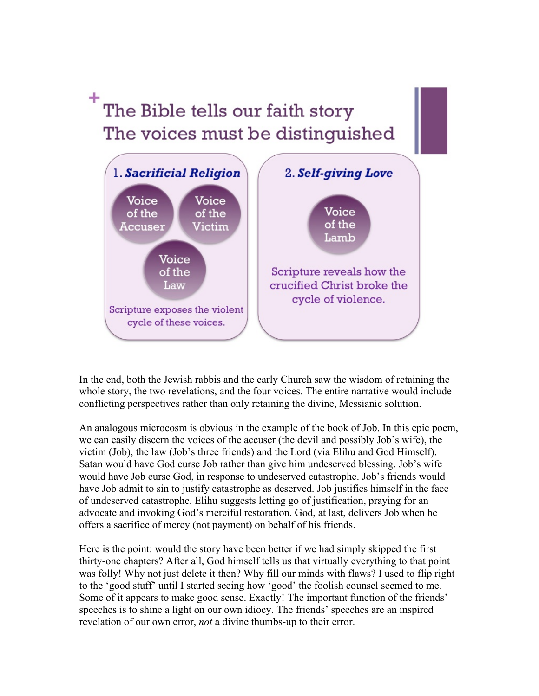# <sup>+</sup>The Bible tells our faith story The voices must be distinguished



In the end, both the Jewish rabbis and the early Church saw the wisdom of retaining the whole story, the two revelations, and the four voices. The entire narrative would include conflicting perspectives rather than only retaining the divine, Messianic solution.

An analogous microcosm is obvious in the example of the book of Job. In this epic poem, we can easily discern the voices of the accuser (the devil and possibly Job's wife), the victim (Job), the law (Job's three friends) and the Lord (via Elihu and God Himself). Satan would have God curse Job rather than give him undeserved blessing. Job's wife would have Job curse God, in response to undeserved catastrophe. Job's friends would have Job admit to sin to justify catastrophe as deserved. Job justifies himself in the face of undeserved catastrophe. Elihu suggests letting go of justification, praying for an advocate and invoking God's merciful restoration. God, at last, delivers Job when he offers a sacrifice of mercy (not payment) on behalf of his friends.

Here is the point: would the story have been better if we had simply skipped the first thirty-one chapters? After all, God himself tells us that virtually everything to that point was folly! Why not just delete it then? Why fill our minds with flaws? I used to flip right to the 'good stuff' until I started seeing how 'good' the foolish counsel seemed to me. Some of it appears to make good sense. Exactly! The important function of the friends' speeches is to shine a light on our own idiocy. The friends' speeches are an inspired revelation of our own error, *not* a divine thumbs-up to their error.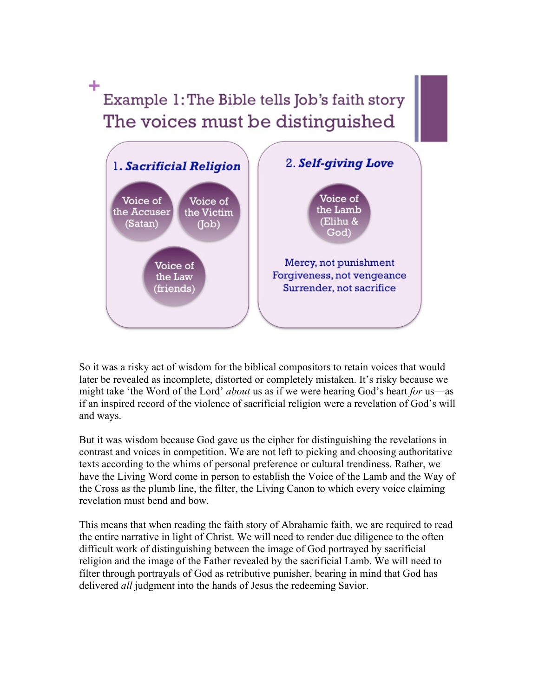### ٠ Example 1: The Bible tells Job's faith story The voices must be distinguished



So it was a risky act of wisdom for the biblical compositors to retain voices that would later be revealed as incomplete, distorted or completely mistaken. It's risky because we might take 'the Word of the Lord' *about* us as if we were hearing God's heart *for* us—as if an inspired record of the violence of sacrificial religion were a revelation of God's will and ways.

But it was wisdom because God gave us the cipher for distinguishing the revelations in contrast and voices in competition. We are not left to picking and choosing authoritative texts according to the whims of personal preference or cultural trendiness. Rather, we have the Living Word come in person to establish the Voice of the Lamb and the Way of the Cross as the plumb line, the filter, the Living Canon to which every voice claiming revelation must bend and bow.

This means that when reading the faith story of Abrahamic faith, we are required to read the entire narrative in light of Christ. We will need to render due diligence to the often difficult work of distinguishing between the image of God portrayed by sacrificial religion and the image of the Father revealed by the sacrificial Lamb. We will need to filter through portrayals of God as retributive punisher, bearing in mind that God has delivered *all* judgment into the hands of Jesus the redeeming Savior.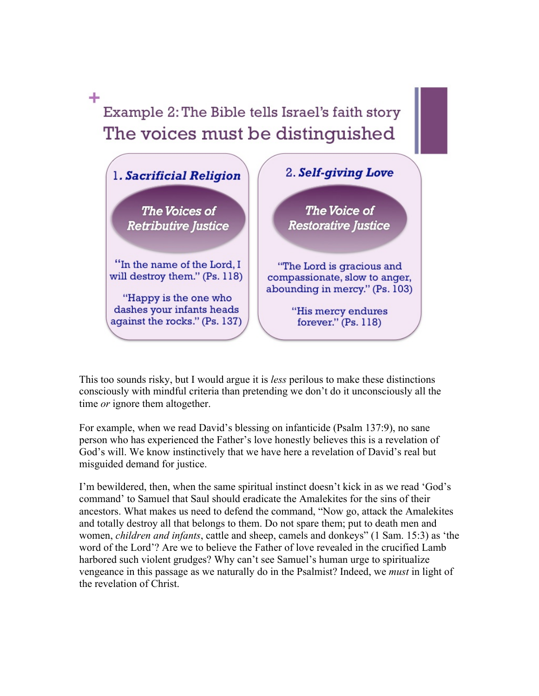Example 2: The Bible tells Israel's faith story The voices must be distinguished

÷



This too sounds risky, but I would argue it is *less* perilous to make these distinctions consciously with mindful criteria than pretending we don't do it unconsciously all the time *or* ignore them altogether.

For example, when we read David's blessing on infanticide (Psalm 137:9), no sane person who has experienced the Father's love honestly believes this is a revelation of God's will. We know instinctively that we have here a revelation of David's real but misguided demand for justice.

I'm bewildered, then, when the same spiritual instinct doesn't kick in as we read 'God's command' to Samuel that Saul should eradicate the Amalekites for the sins of their ancestors. What makes us need to defend the command, "Now go, attack the Amalekites and totally destroy all that belongs to them. Do not spare them; put to death men and women, *children and infants*, cattle and sheep, camels and donkeys" (1 Sam. 15:3) as 'the word of the Lord'? Are we to believe the Father of love revealed in the crucified Lamb harbored such violent grudges? Why can't see Samuel's human urge to spiritualize vengeance in this passage as we naturally do in the Psalmist? Indeed, we *must* in light of the revelation of Christ.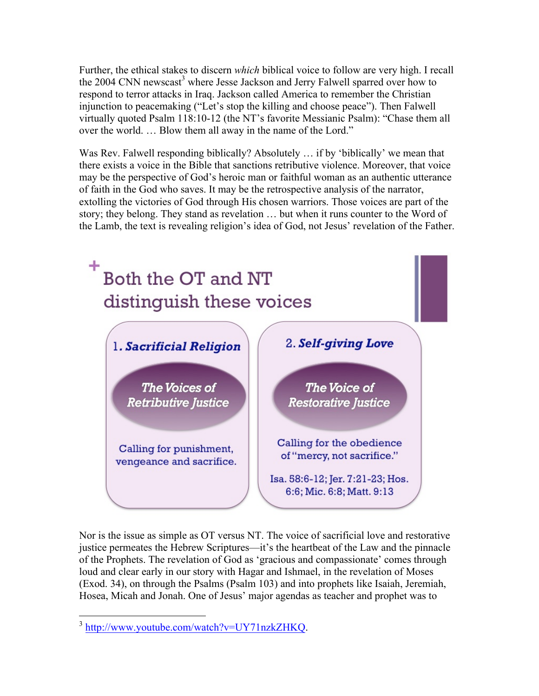Further, the ethical stakes to discern *which* biblical voice to follow are very high. I recall the 2004 CNN newscast<sup>3</sup> where Jesse Jackson and Jerry Falwell sparred over how to respond to terror attacks in Iraq. Jackson called America to remember the Christian injunction to peacemaking ("Let's stop the killing and choose peace"). Then Falwell virtually quoted Psalm 118:10-12 (the NT's favorite Messianic Psalm): "Chase them all over the world. … Blow them all away in the name of the Lord."

Was Rev. Falwell responding biblically? Absolutely ... if by 'biblically' we mean that there exists a voice in the Bible that sanctions retributive violence. Moreover, that voice may be the perspective of God's heroic man or faithful woman as an authentic utterance of faith in the God who saves. It may be the retrospective analysis of the narrator, extolling the victories of God through His chosen warriors. Those voices are part of the story; they belong. They stand as revelation … but when it runs counter to the Word of the Lamb, the text is revealing religion's idea of God, not Jesus' revelation of the Father.



Nor is the issue as simple as OT versus NT. The voice of sacrificial love and restorative justice permeates the Hebrew Scriptures—it's the heartbeat of the Law and the pinnacle of the Prophets. The revelation of God as 'gracious and compassionate' comes through loud and clear early in our story with Hagar and Ishmael, in the revelation of Moses (Exod. 34), on through the Psalms (Psalm 103) and into prophets like Isaiah, Jeremiah, Hosea, Micah and Jonah. One of Jesus' major agendas as teacher and prophet was to

 <sup>3</sup> http://www.youtube.com/watch?v=UY71nzkZHKQ.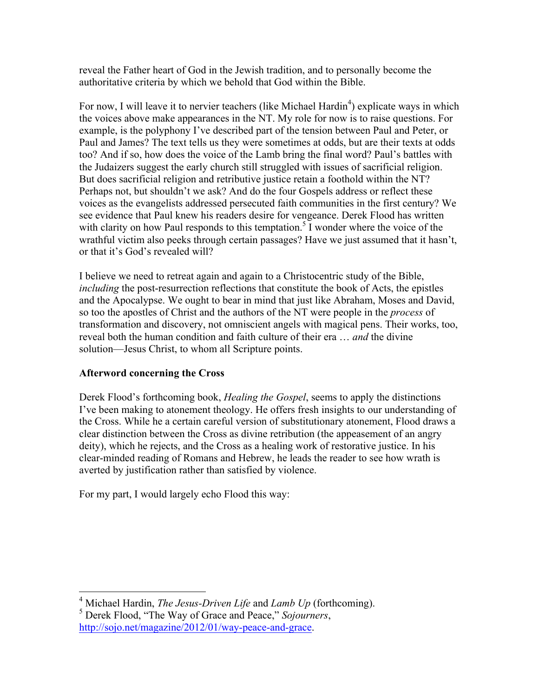reveal the Father heart of God in the Jewish tradition, and to personally become the authoritative criteria by which we behold that God within the Bible.

For now, I will leave it to nervier teachers (like Michael Hardin<sup>4</sup>) explicate ways in which the voices above make appearances in the NT. My role for now is to raise questions. For example, is the polyphony I've described part of the tension between Paul and Peter, or Paul and James? The text tells us they were sometimes at odds, but are their texts at odds too? And if so, how does the voice of the Lamb bring the final word? Paul's battles with the Judaizers suggest the early church still struggled with issues of sacrificial religion. But does sacrificial religion and retributive justice retain a foothold within the NT? Perhaps not, but shouldn't we ask? And do the four Gospels address or reflect these voices as the evangelists addressed persecuted faith communities in the first century? We see evidence that Paul knew his readers desire for vengeance. Derek Flood has written with clarity on how Paul responds to this temptation.<sup>5</sup> I wonder where the voice of the wrathful victim also peeks through certain passages? Have we just assumed that it hasn't, or that it's God's revealed will?

I believe we need to retreat again and again to a Christocentric study of the Bible, *including* the post-resurrection reflections that constitute the book of Acts, the epistles and the Apocalypse. We ought to bear in mind that just like Abraham, Moses and David, so too the apostles of Christ and the authors of the NT were people in the *process* of transformation and discovery, not omniscient angels with magical pens. Their works, too, reveal both the human condition and faith culture of their era … *and* the divine solution—Jesus Christ, to whom all Scripture points.

### **Afterword concerning the Cross**

Derek Flood's forthcoming book, *Healing the Gospel*, seems to apply the distinctions I've been making to atonement theology. He offers fresh insights to our understanding of the Cross. While he a certain careful version of substitutionary atonement, Flood draws a clear distinction between the Cross as divine retribution (the appeasement of an angry deity), which he rejects, and the Cross as a healing work of restorative justice. In his clear-minded reading of Romans and Hebrew, he leads the reader to see how wrath is averted by justification rather than satisfied by violence.

For my part, I would largely echo Flood this way:

 <sup>4</sup> Michael Hardin, *The Jesus-Driven Life* and *Lamb Up* (forthcoming).

<sup>5</sup> Derek Flood, "The Way of Grace and Peace," *Sojourners*, http://sojo.net/magazine/2012/01/way-peace-and-grace.